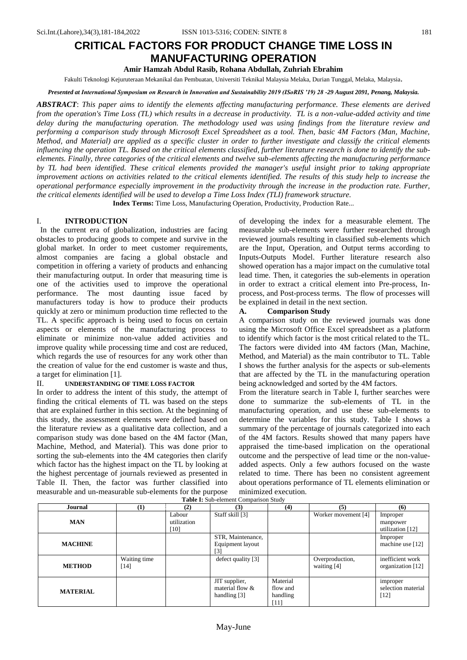# **CRITICAL FACTORS FOR PRODUCT CHANGE TIME LOSS IN MANUFACTURING OPERATION**

**Amir Hamzah Abdul Rasib, Rohana Abdullah, Zuhriah Ebrahim**

Fakulti Teknologi Kejuruteraan Mekanikal dan Pembuatan, Universiti Teknikal Malaysia Melaka, Durian Tunggal, Melaka, Malaysia.

*Presented at International Symposium on Research in Innovation and Sustainability 2019 (ISoRIS '19) 28 -29 August 2091, Penang, Malaysia.*

*ABSTRACT*: *This paper aims to identify the elements affecting manufacturing performance. These elements are derived from the operation's Time Loss (TL) which results in a decrease in productivity. TL is a non-value-added activity and time delay during the manufacturing operation. The methodology used was using findings from the literature review and performing a comparison study through Microsoft Excel Spreadsheet as a tool. Then, basic 4M Factors (Man, Machine, Method, and Material) are applied as a specific cluster in order to further investigate and classify the critical elements*  influencing the operation TL. Based on the critical elements classified, further literature research is done to identify the sub*elements. Finally, three categories of the critical elements and twelve sub-elements affecting the manufacturing performance by TL had been identified. These critical elements provided the manager's useful insight prior to taking appropriate improvement actions on activities related to the critical elements identified. The results of this study help to increase the operational performance especially improvement in the productivity through the increase in the production rate. Further, the critical elements identified will be used to develop a Time Loss Index (TLI) framework structure.* 

**Index Terms:** Time Loss, Manufacturing Operation, Productivity, Production Rate...

## I. **INTRODUCTION**

 In the current era of globalization, industries are facing obstacles to producing goods to compete and survive in the global market. In order to meet customer requirements, almost companies are facing a global obstacle and competition in offering a variety of products and enhancing their manufacturing output. In order that measuring time is one of the activities used to improve the operational performance. The most daunting issue faced by manufacturers today is how to produce their products quickly at zero or minimum production time reflected to the TL. A specific approach is being used to focus on certain aspects or elements of the manufacturing process to eliminate or minimize non-value added activities and improve quality while processing time and cost are reduced, which regards the use of resources for any work other than the creation of value for the end customer is waste and thus, a target for elimination [1].

## II. **UNDERSTANDING OF TIME LOSS FACTOR**

In order to address the intent of this study, the attempt of finding the critical elements of TL was based on the steps that are explained further in this section. At the beginning of this study, the assessment elements were defined based on the literature review as a qualitative data collection, and a comparison study was done based on the 4M factor (Man, Machine, Method, and Material). This was done prior to sorting the sub-elements into the 4M categories then clarify which factor has the highest impact on the TL by looking at the highest percentage of journals reviewed as presented in Table II. Then, the factor was further classified into measurable and un-measurable sub-elements for the purpose **Table I:** Sub-element Comparison Study

of developing the index for a measurable element. The measurable sub-elements were further researched through reviewed journals resulting in classified sub-elements which are the Input, Operation, and Output terms according to Inputs-Outputs Model. Further literature research also showed operation has a major impact on the cumulative total lead time. Then, it categories the sub-elements in operation in order to extract a critical element into Pre-process, Inprocess, and Post-process terms. The flow of processes will be explained in detail in the next section.

#### **A. Comparison Study**

A comparison study on the reviewed journals was done using the Microsoft Office Excel spreadsheet as a platform to identify which factor is the most critical related to the TL. The factors were divided into 4M factors (Man, Machine, Method, and Material) as the main contributor to TL. Table I shows the further analysis for the aspects or sub-elements that are affected by the TL in the manufacturing operation being acknowledged and sorted by the 4M factors.

From the literature search in Table I, further searches were done to summarize the sub-elements of TL in the manufacturing operation, and use these sub-elements to determine the variables for this study. Table I shows a summary of the percentage of journals categorized into each of the 4M factors. Results showed that many papers have appraised the time-based implication on the operational outcome and the perspective of lead time or the non-valueadded aspects. Only a few authors focused on the waste related to time. There has been no consistent agreement about operations performance of TL elements elimination or minimized execution.

| <b>Table 1:</b> Day Cicinem Companion Diagy |                        |                               |                                                    |                                            |                                |                                          |
|---------------------------------------------|------------------------|-------------------------------|----------------------------------------------------|--------------------------------------------|--------------------------------|------------------------------------------|
| Journal                                     | $\bf(1)$               | (2)                           | (3)                                                | (4)                                        | (5)                            | (6)                                      |
| <b>MAN</b>                                  |                        | Labour<br>utilization<br>[10] | Staff skill [3]                                    |                                            | Worker movement [4]            | Improper<br>manpower<br>utilization [12] |
| <b>MACHINE</b>                              |                        |                               | STR, Maintenance,<br>Equipment layout<br>[3]       |                                            |                                | Improper<br>machine use [12]             |
| <b>METHOD</b>                               | Waiting time<br>$[14]$ |                               | defect quality $[3]$                               |                                            | Overproduction,<br>waiting [4] | inefficient work<br>organization [12]    |
| <b>MATERIAL</b>                             |                        |                               | JIT supplier,<br>material flow &<br>handling $[3]$ | Material<br>flow and<br>handling<br>$[11]$ |                                | improper<br>selection material<br>$[12]$ |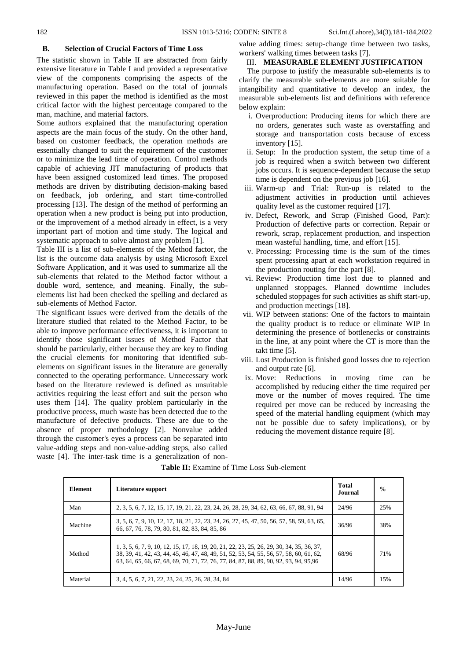## **B. Selection of Crucial Factors of Time Loss**

The statistic shown in Table II are abstracted from fairly extensive literature in Table I and provided a representative view of the components comprising the aspects of the manufacturing operation. Based on the total of journals reviewed in this paper the method is identified as the most critical factor with the highest percentage compared to the man, machine, and material factors.

Some authors explained that the manufacturing operation aspects are the main focus of the study. On the other hand, based on customer feedback, the operation methods are essentially changed to suit the requirement of the customer or to minimize the lead time of operation. Control methods capable of achieving JIT manufacturing of products that have been assigned customized lead times. The proposed methods are driven by distributing decision-making based on feedback, job ordering, and start time-controlled processing [13]. The design of the method of performing an operation when a new product is being put into production, or the improvement of a method already in effect, is a very important part of motion and time study. The logical and systematic approach to solve almost any problem [1].

Table III is a list of sub-elements of the Method factor, the list is the outcome data analysis by using Microsoft Excel Software Application, and it was used to summarize all the sub-elements that related to the Method factor without a double word, sentence, and meaning. Finally, the subelements list had been checked the spelling and declared as sub-elements of Method Factor.

The significant issues were derived from the details of the literature studied that related to the Method Factor, to be able to improve performance effectiveness, it is important to identify those significant issues of Method Factor that should be particularly, either because they are key to finding the crucial elements for monitoring that identified subelements on significant issues in the literature are generally connected to the operating performance. Unnecessary work based on the literature reviewed is defined as unsuitable activities requiring the least effort and suit the person who uses them [14]. The quality problem particularly in the productive process, much waste has been detected due to the manufacture of defective products. These are due to the absence of proper methodology [2]. Nonvalue added through the customer's eyes a process can be separated into value-adding steps and non-value-adding steps, also called waste [4]. The inter-task time is a generalization of nonvalue adding times: setup-change time between two tasks, workers' walking times between tasks [7].

### III. **MEASURABLE ELEMENT JUSTIFICATION**

The purpose to justify the measurable sub-elements is to clarify the measurable sub-elements are more suitable for intangibility and quantitative to develop an index, the measurable sub-elements list and definitions with reference below explain:

- i. Overproduction: Producing items for which there are no orders, generates such waste as overstaffing and storage and transportation costs because of excess inventory [15].
- ii. Setup: In the production system, the setup time of a job is required when a switch between two different jobs occurs. It is sequence-dependent because the setup time is dependent on the previous job [16].
- iii. Warm-up and Trial: Run-up is related to the adjustment activities in production until achieves quality level as the customer required [17].
- iv. Defect, Rework, and Scrap (Finished Good, Part): Production of defective parts or correction. Repair or rework, scrap, replacement production, and inspection mean wasteful handling, time, and effort [15].
- v. Processing: Processing time is the sum of the times spent processing apart at each workstation required in the production routing for the part [8].
- vi. Review: Production time lost due to planned and unplanned stoppages. Planned downtime includes scheduled stoppages for such activities as shift start-up, and production meetings [18].
- vii. WIP between stations: One of the factors to maintain the quality product is to reduce or eliminate WIP In determining the presence of bottlenecks or constraints in the line, at any point where the CT is more than the takt time [5].
- viii. Lost Production is finished good losses due to rejection and output rate [6].
- ix. Move: Reductions in moving time can be accomplished by reducing either the time required per move or the number of moves required. The time required per move can be reduced by increasing the speed of the material handling equipment (which may not be possible due to safety implications), or by reducing the movement distance require [8].

| <b>Element</b> | Literature support                                                                                                                                                                                                                                                             | <b>Total</b><br>Journal | $\frac{0}{0}$ |
|----------------|--------------------------------------------------------------------------------------------------------------------------------------------------------------------------------------------------------------------------------------------------------------------------------|-------------------------|---------------|
| Man            | 2, 3, 5, 6, 7, 12, 15, 17, 19, 21, 22, 23, 24, 26, 28, 29, 34, 62, 63, 66, 67, 88, 91, 94                                                                                                                                                                                      | 24/96                   | 25%           |
| Machine        | 3, 5, 6, 7, 9, 10, 12, 17, 18, 21, 22, 23, 24, 26, 27, 45, 47, 50, 56, 57, 58, 59, 63, 65,<br>66, 67, 76, 78, 79, 80, 81, 82, 83, 84, 85, 86                                                                                                                                   | 36/96                   | 38%           |
| Method         | 1, 3, 5, 6, 7, 9, 10, 12, 15, 17, 18, 19, 20, 21, 22, 23, 25, 26, 29, 30, 34, 35, 36, 37,<br>38, 39, 41, 42, 43, 44, 45, 46, 47, 48, 49, 51, 52, 53, 54, 55, 56, 57, 58, 60, 61, 62,<br>63, 64, 65, 66, 67, 68, 69, 70, 71, 72, 76, 77, 84, 87, 88, 89, 90, 92, 93, 94, 95, 96 | 68/96                   | 71%           |
| Material       | 3, 4, 5, 6, 7, 21, 22, 23, 24, 25, 26, 28, 34, 84                                                                                                                                                                                                                              | 14/96                   | 15%           |

**Table II:** Examine of Time Loss Sub-element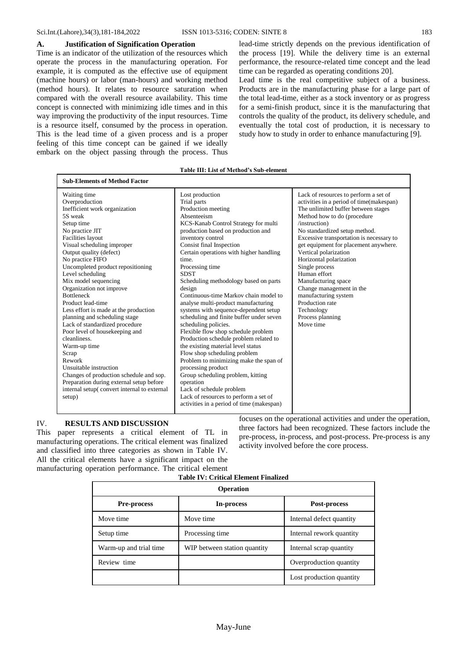#### **A. Justification of Signification Operation**

Time is an indicator of the utilization of the resources which operate the process in the manufacturing operation. For example, it is computed as the effective use of equipment (machine hours) or labor (man-hours) and working method (method hours). It relates to resource saturation when compared with the overall resource availability. This time concept is connected with minimizing idle times and in this way improving the productivity of the input resources. Time is a resource itself, consumed by the process in operation. This is the lead time of a given process and is a proper feeling of this time concept can be gained if we ideally embark on the object passing through the process. Thus lead-time strictly depends on the previous identification of the process [19]. While the delivery time is an external performance, the resource-related time concept and the lead time can be regarded as operating conditions 20].

Lead time is the real competitive subject of a business. Products are in the manufacturing phase for a large part of the total lead-time, either as a stock inventory or as progress for a semi-finish product, since it is the manufacturing that controls the quality of the product, its delivery schedule, and eventually the total cost of production, it is necessary to study how to study in order to enhance manufacturing [9].

#### **Table III: List of Method's Sub-element**

| <b>Sub-Elements of Method Factor</b><br>Waiting time<br>Overproduction<br>Inefficient work organization<br>5S weak<br>Setup time<br>No practice JIT<br><b>Facilities layout</b><br>Visual scheduling improper<br>Output quality (defect)<br>No practice FIFO<br>Uncompleted product repositioning<br>Level scheduling<br>Mix model sequencing                                        | Lost production<br>Trial parts<br>Production meeting<br>Absenteeism<br>KCS-Kanab Control Strategy for multi<br>production based on production and<br>inventory control<br>Consist final Inspection<br>Certain operations with higher handling<br>time.<br>Processing time<br><b>SDST</b><br>Scheduling methodology based on parts                                                                                                                                            | Lack of resources to perform a set of<br>activities in a period of time(makespan)<br>The unlimited buffer between stages<br>Method how to do (procedure<br>/instruction)<br>No standardized setup method.<br>Excessive transportation is necessary to<br>get equipment for placement anywhere.<br>Vertical polarization<br>Horizontal polarization<br>Single process<br>Human effort<br>Manufacturing space |  |  |  |
|--------------------------------------------------------------------------------------------------------------------------------------------------------------------------------------------------------------------------------------------------------------------------------------------------------------------------------------------------------------------------------------|------------------------------------------------------------------------------------------------------------------------------------------------------------------------------------------------------------------------------------------------------------------------------------------------------------------------------------------------------------------------------------------------------------------------------------------------------------------------------|-------------------------------------------------------------------------------------------------------------------------------------------------------------------------------------------------------------------------------------------------------------------------------------------------------------------------------------------------------------------------------------------------------------|--|--|--|
| Organization not improve<br><b>Bottleneck</b><br>Product lead-time<br>Less effort is made at the production<br>planning and scheduling stage<br>Lack of standardized procedure<br>Poor level of housekeeping and<br>cleanliness.<br>Warm-up time<br>Scrap<br>Rework<br>Unsuitable instruction<br>Changes of production schedule and sop.<br>Preparation during external setup before | design<br>Continuous-time Markov chain model to<br>analyse multi-product manufacturing<br>systems with sequence-dependent setup<br>scheduling and finite buffer under seven<br>scheduling policies.<br>Flexible flow shop schedule problem<br>Production schedule problem related to<br>the existing material level status<br>Flow shop scheduling problem<br>Problem to minimizing make the span of<br>processing product<br>Group scheduling problem, kitting<br>operation | Change management in the<br>manufacturing system<br>Production rate<br>Technology<br>Process planning<br>Move time                                                                                                                                                                                                                                                                                          |  |  |  |
| internal setup(convert internal to external<br>setup)                                                                                                                                                                                                                                                                                                                                | Lack of schedule problem<br>Lack of resources to perform a set of<br>activities in a period of time (makespan)                                                                                                                                                                                                                                                                                                                                                               |                                                                                                                                                                                                                                                                                                                                                                                                             |  |  |  |

## IV. **RESULTS AND DISCUSSION**

This paper represents a critical element of TL in manufacturing operations. The critical element was finalized and classified into three categories as shown in Table IV. All the critical elements have a significant impact on the manufacturing operation performance. The critical element focuses on the operational activities and under the operation, three factors had been recognized. These factors include the pre-process, in-process, and post-process. Pre-process is any activity involved before the core process.

| <b>Operation</b>       |                              |                          |  |  |  |
|------------------------|------------------------------|--------------------------|--|--|--|
| <b>Pre-process</b>     | In-process                   | Post-process             |  |  |  |
| Move time              | Move time                    | Internal defect quantity |  |  |  |
| Setup time             | Processing time              | Internal rework quantity |  |  |  |
| Warm-up and trial time | WIP between station quantity | Internal scrap quantity  |  |  |  |
| Review time            |                              | Overproduction quantity  |  |  |  |
|                        |                              | Lost production quantity |  |  |  |